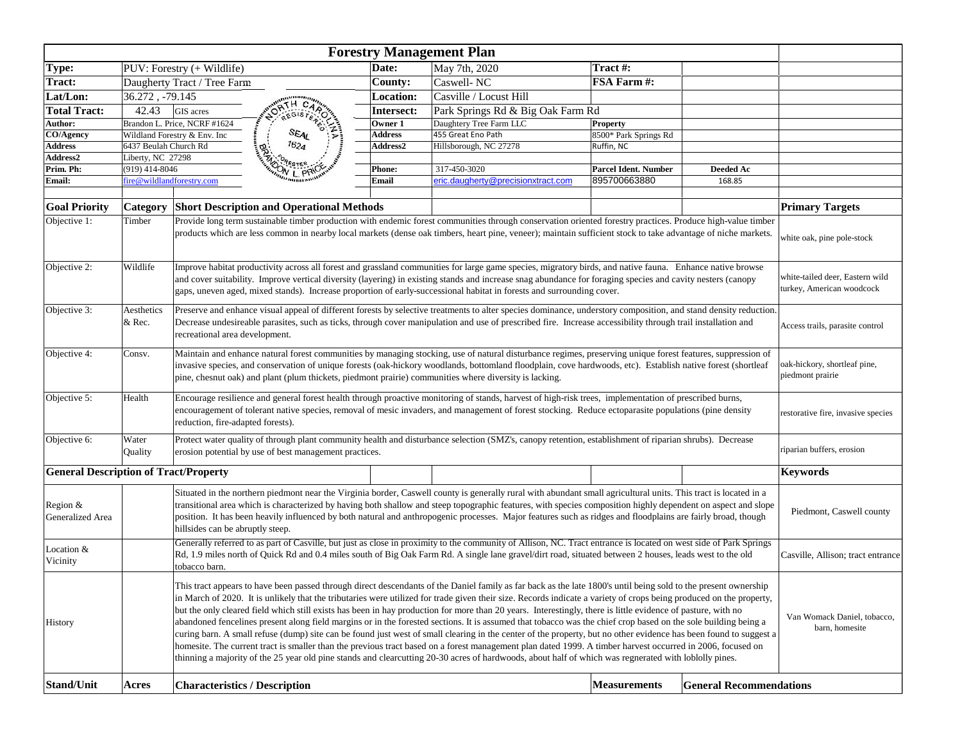|                                              |                                                    |                                                                                                                                                                                                                                                                                                                                                                                                                                                                                                                                                                                                                                                                                                                                                                                                                                                                                                                                                                                                                                                                                                                                                                                                                       |                                                  |                    | <b>Forestry Management Plan</b>    |                                          |                                    |                                 |
|----------------------------------------------|----------------------------------------------------|-----------------------------------------------------------------------------------------------------------------------------------------------------------------------------------------------------------------------------------------------------------------------------------------------------------------------------------------------------------------------------------------------------------------------------------------------------------------------------------------------------------------------------------------------------------------------------------------------------------------------------------------------------------------------------------------------------------------------------------------------------------------------------------------------------------------------------------------------------------------------------------------------------------------------------------------------------------------------------------------------------------------------------------------------------------------------------------------------------------------------------------------------------------------------------------------------------------------------|--------------------------------------------------|--------------------|------------------------------------|------------------------------------------|------------------------------------|---------------------------------|
| Type:                                        |                                                    | PUV: Forestry (+ Wildlife)                                                                                                                                                                                                                                                                                                                                                                                                                                                                                                                                                                                                                                                                                                                                                                                                                                                                                                                                                                                                                                                                                                                                                                                            |                                                  | Date:              | May 7th, 2020                      | Tract #:                                 |                                    |                                 |
| Tract:                                       |                                                    | Daugherty Tract / Tree Farm                                                                                                                                                                                                                                                                                                                                                                                                                                                                                                                                                                                                                                                                                                                                                                                                                                                                                                                                                                                                                                                                                                                                                                                           |                                                  | <b>County:</b>     | Caswell-NC                         | FSA Farm #:                              |                                    |                                 |
| Lat/Lon:                                     | 36.272, -79.145                                    |                                                                                                                                                                                                                                                                                                                                                                                                                                                                                                                                                                                                                                                                                                                                                                                                                                                                                                                                                                                                                                                                                                                                                                                                                       |                                                  | <b>Location:</b>   | Casville / Locust Hill             |                                          |                                    |                                 |
| <b>Total Tract:</b>                          | 42.43                                              | GIS acres                                                                                                                                                                                                                                                                                                                                                                                                                                                                                                                                                                                                                                                                                                                                                                                                                                                                                                                                                                                                                                                                                                                                                                                                             | <b>CORTH CARDS</b>                               | Intersect:         | Park Springs Rd & Big Oak Farm Rd  |                                          |                                    |                                 |
| Author:                                      |                                                    | Brandon L. Price, NCRF #1624                                                                                                                                                                                                                                                                                                                                                                                                                                                                                                                                                                                                                                                                                                                                                                                                                                                                                                                                                                                                                                                                                                                                                                                          |                                                  |                    | Daughtery Tree Farm LLC            |                                          |                                    |                                 |
| CO/Agency                                    |                                                    |                                                                                                                                                                                                                                                                                                                                                                                                                                                                                                                                                                                                                                                                                                                                                                                                                                                                                                                                                                                                                                                                                                                                                                                                                       | SEAL                                             | Owner 1<br>Address | 455 Great Eno Path                 | <b>Property</b><br>8500* Park Springs Rd |                                    |                                 |
| <b>Address</b>                               |                                                    | Wildland Forestry & Env. Inc<br>1624<br>6437 Beulah Church Rd                                                                                                                                                                                                                                                                                                                                                                                                                                                                                                                                                                                                                                                                                                                                                                                                                                                                                                                                                                                                                                                                                                                                                         |                                                  | <b>Address2</b>    | Hillsborough, NC 27278             | Ruffin, NC                               |                                    |                                 |
| <b>Address2</b>                              |                                                    |                                                                                                                                                                                                                                                                                                                                                                                                                                                                                                                                                                                                                                                                                                                                                                                                                                                                                                                                                                                                                                                                                                                                                                                                                       |                                                  |                    |                                    |                                          |                                    |                                 |
| Prim. Ph:                                    | Liberty, NC 27298<br>ON L PRIC<br>$(919)$ 414-8046 |                                                                                                                                                                                                                                                                                                                                                                                                                                                                                                                                                                                                                                                                                                                                                                                                                                                                                                                                                                                                                                                                                                                                                                                                                       | <b>Phone:</b>                                    | 317-450-3020       | <b>Parcel Ident. Number</b>        | Deeded Ac                                |                                    |                                 |
| Email:                                       |                                                    | fire@wildlandforestry.com                                                                                                                                                                                                                                                                                                                                                                                                                                                                                                                                                                                                                                                                                                                                                                                                                                                                                                                                                                                                                                                                                                                                                                                             |                                                  | <b>Email</b>       | eric.daugherty@precisionxtract.com | 895700663880                             | 168.85                             |                                 |
|                                              |                                                    |                                                                                                                                                                                                                                                                                                                                                                                                                                                                                                                                                                                                                                                                                                                                                                                                                                                                                                                                                                                                                                                                                                                                                                                                                       |                                                  |                    |                                    |                                          |                                    |                                 |
| <b>Goal Priority</b>                         | Category                                           |                                                                                                                                                                                                                                                                                                                                                                                                                                                                                                                                                                                                                                                                                                                                                                                                                                                                                                                                                                                                                                                                                                                                                                                                                       | <b>Short Description and Operational Methods</b> |                    |                                    |                                          |                                    | <b>Primary Targets</b>          |
| Objective 1:                                 |                                                    |                                                                                                                                                                                                                                                                                                                                                                                                                                                                                                                                                                                                                                                                                                                                                                                                                                                                                                                                                                                                                                                                                                                                                                                                                       |                                                  |                    |                                    |                                          |                                    |                                 |
|                                              | Timber                                             | Provide long term sustainable timber production with endemic forest communities through conservation oriented forestry practices. Produce high-value timber<br>products which are less common in nearby local markets (dense oak timbers, heart pine, veneer); maintain sufficient stock to take advantage of niche markets.<br>white oak, pine pole-stock                                                                                                                                                                                                                                                                                                                                                                                                                                                                                                                                                                                                                                                                                                                                                                                                                                                            |                                                  |                    |                                    |                                          |                                    |                                 |
| Objective 2:                                 | Wildlife                                           | Improve habitat productivity across all forest and grassland communities for large game species, migratory birds, and native fauna. Enhance native browse<br>white-tailed deer, Eastern wild<br>and cover suitability. Improve vertical diversity (layering) in existing stands and increase snag abundance for foraging species and cavity nesters (canopy<br>turkey, American woodcock<br>gaps, uneven aged, mixed stands). Increase proportion of early-successional habitat in forests and surrounding cover.                                                                                                                                                                                                                                                                                                                                                                                                                                                                                                                                                                                                                                                                                                     |                                                  |                    |                                    |                                          |                                    |                                 |
| Objective 3:                                 | Aesthetics<br>& Rec.                               | Preserve and enhance visual appeal of different forests by selective treatments to alter species dominance, understory composition, and stand density reduction.<br>Decrease undesireable parasites, such as ticks, through cover manipulation and use of prescribed fire. Increase accessibility through trail installation and<br>recreational area development.                                                                                                                                                                                                                                                                                                                                                                                                                                                                                                                                                                                                                                                                                                                                                                                                                                                    |                                                  |                    |                                    |                                          |                                    | Access trails, parasite control |
| Objective 4:                                 | Consv.                                             | Maintain and enhance natural forest communities by managing stocking, use of natural disturbance regimes, preserving unique forest features, suppression of<br>pak-hickory, shortleaf pine,<br>invasive species, and conservation of unique forests (oak-hickory woodlands, bottomland floodplain, cove hardwoods, etc). Establish native forest (shortleaf<br>piedmont prairie<br>pine, chesnut oak) and plant (plum thickets, piedmont prairie) communities where diversity is lacking.                                                                                                                                                                                                                                                                                                                                                                                                                                                                                                                                                                                                                                                                                                                             |                                                  |                    |                                    |                                          |                                    |                                 |
| Objective 5:                                 | Health                                             | Encourage resilience and general forest health through proactive monitoring of stands, harvest of high-risk trees, implementation of prescribed burns,<br>encouragement of tolerant native species, removal of mesic invaders, and management of forest stocking. Reduce ectoparasite populations (pine density<br>reduction, fire-adapted forests).                                                                                                                                                                                                                                                                                                                                                                                                                                                                                                                                                                                                                                                                                                                                                                                                                                                                  |                                                  |                    |                                    |                                          | restorative fire, invasive species |                                 |
| Objective 6:                                 | Water<br>Quality                                   | Protect water quality of through plant community health and disturbance selection (SMZ's, canopy retention, establishment of riparian shrubs). Decrease<br>erosion potential by use of best management practices.                                                                                                                                                                                                                                                                                                                                                                                                                                                                                                                                                                                                                                                                                                                                                                                                                                                                                                                                                                                                     |                                                  |                    |                                    |                                          |                                    | riparian buffers, erosion       |
| <b>General Description of Tract/Property</b> |                                                    |                                                                                                                                                                                                                                                                                                                                                                                                                                                                                                                                                                                                                                                                                                                                                                                                                                                                                                                                                                                                                                                                                                                                                                                                                       |                                                  |                    |                                    |                                          |                                    | <b>Keywords</b>                 |
| Region &<br>Generalized Area                 |                                                    | Situated in the northern piedmont near the Virginia border, Caswell county is generally rural with abundant small agricultural units. This tract is located in a<br>transitional area which is characterized by having both shallow and steep topographic features, with species composition highly dependent on aspect and slope<br>Piedmont, Caswell county<br>position. It has been heavily influenced by both natural and anthropogenic processes. Major features such as ridges and floodplains are fairly broad, though<br>hillsides can be abruptly steep.                                                                                                                                                                                                                                                                                                                                                                                                                                                                                                                                                                                                                                                     |                                                  |                    |                                    |                                          |                                    |                                 |
| Location &<br>Vicinity                       |                                                    | Generally referred to as part of Casville, but just as close in proximity to the community of Allison, NC. Tract entrance is located on west side of Park Springs<br>Rd, 1.9 miles north of Quick Rd and 0.4 miles south of Big Oak Farm Rd. A single lane gravel/dirt road, situated between 2 houses, leads west to the old<br>Casville, Allison; tract entrance<br>tobacco barn.                                                                                                                                                                                                                                                                                                                                                                                                                                                                                                                                                                                                                                                                                                                                                                                                                                   |                                                  |                    |                                    |                                          |                                    |                                 |
| <b>History</b>                               |                                                    | This tract appears to have been passed through direct descendants of the Daniel family as far back as the late 1800's until being sold to the present ownership<br>in March of 2020. It is unlikely that the tributaries were utilized for trade given their size. Records indicate a variety of crops being produced on the property,<br>but the only cleared field which still exists has been in hay production for more than 20 years. Interestingly, there is little evidence of pasture, with no<br>Van Womack Daniel, tobacco,<br>abandoned fencelines present along field margins or in the forested sections. It is assumed that tobacco was the chief crop based on the sole building being a<br>barn, homesite<br>curing barn. A small refuse (dump) site can be found just west of small clearing in the center of the property, but no other evidence has been found to suggest a<br>homesite. The current tract is smaller than the previous tract based on a forest management plan dated 1999. A timber harvest occurred in 2006, focused on<br>thinning a majority of the 25 year old pine stands and clearcutting 20-30 acres of hardwoods, about half of which was regnerated with loblolly pines. |                                                  |                    |                                    |                                          |                                    |                                 |
| Stand/Unit                                   | Acres                                              |                                                                                                                                                                                                                                                                                                                                                                                                                                                                                                                                                                                                                                                                                                                                                                                                                                                                                                                                                                                                                                                                                                                                                                                                                       | <b>Characteristics / Description</b>             |                    |                                    | <b>Measurements</b>                      | <b>General Recommendations</b>     |                                 |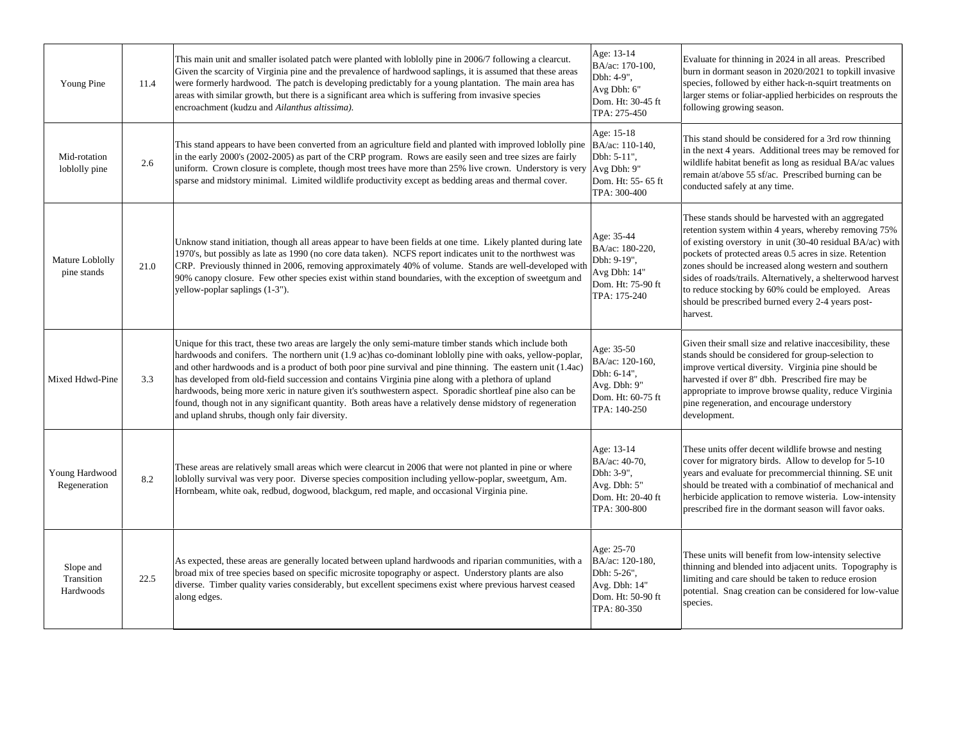| Young Pine                           | 11.4 | This main unit and smaller isolated patch were planted with loblolly pine in 2006/7 following a clearcut.<br>Given the scarcity of Virginia pine and the prevalence of hardwood saplings, it is assumed that these areas<br>were formerly hardwood. The patch is developing predictably for a young plantation. The main area has<br>areas with similar growth, but there is a significant area which is suffering from invasive species<br>encroachment (kudzu and Ailanthus altissima).                                                                                                                                                                                                                                | Age: 13-14<br>BA/ac: 170-100,<br>Dbh: 4-9",<br>Avg Dbh: 6"<br>Dom. Ht: 30-45 ft<br>TPA: 275-450   | Evaluate for thinning in 2024 in all areas. Prescribed<br>burn in dormant season in 2020/2021 to topkill invasive<br>species, followed by either hack-n-squirt treatments on<br>larger stems or foliar-applied herbicides on resprouts the<br>following growing season.                                                                                                                                                                                                            |
|--------------------------------------|------|--------------------------------------------------------------------------------------------------------------------------------------------------------------------------------------------------------------------------------------------------------------------------------------------------------------------------------------------------------------------------------------------------------------------------------------------------------------------------------------------------------------------------------------------------------------------------------------------------------------------------------------------------------------------------------------------------------------------------|---------------------------------------------------------------------------------------------------|------------------------------------------------------------------------------------------------------------------------------------------------------------------------------------------------------------------------------------------------------------------------------------------------------------------------------------------------------------------------------------------------------------------------------------------------------------------------------------|
| Mid-rotation<br>loblolly pine        | 2.6  | This stand appears to have been converted from an agriculture field and planted with improved loblolly pine $ BA/ac: 110-140$ ,<br>in the early 2000's (2002-2005) as part of the CRP program. Rows are easily seen and tree sizes are fairly<br>uniform. Crown closure is complete, though most trees have more than 25% live crown. Understory is very Avg Dbh: 9"<br>sparse and midstory minimal. Limited wildlife productivity except as bedding areas and thermal cover.                                                                                                                                                                                                                                            | Age: 15-18<br>Dbh: 5-11",<br>Dom. Ht: 55- 65 ft<br>TPA: 300-400                                   | This stand should be considered for a 3rd row thinning<br>in the next 4 years. Additional trees may be removed for<br>wildlife habitat benefit as long as residual BA/ac values<br>remain at/above 55 sf/ac. Prescribed burning can be<br>conducted safely at any time.                                                                                                                                                                                                            |
| Mature Loblolly<br>pine stands       | 21.0 | Unknow stand initiation, though all areas appear to have been fields at one time. Likely planted during late<br>1970's, but possibly as late as 1990 (no core data taken). NCFS report indicates unit to the northwest was<br>CRP. Previously thinned in 2006, removing approximately 40% of volume. Stands are well-developed wit<br>90% canopy closure. Few other species exist within stand boundaries, with the exception of sweetgum and<br>yellow-poplar saplings (1-3").                                                                                                                                                                                                                                          | Age: 35-44<br>BA/ac: 180-220,<br>Dbh: 9-19",<br>Avg Dbh: 14"<br>Dom. Ht: 75-90 ft<br>TPA: 175-240 | These stands should be harvested with an aggregated<br>retention system within 4 years, whereby removing 75%<br>of existing overstory in unit (30-40 residual BA/ac) with<br>pockets of protected areas 0.5 acres in size. Retention<br>zones should be increased along western and southern<br>sides of roads/trails. Alternatively, a shelterwood harvest<br>to reduce stocking by 60% could be employed. Areas<br>should be prescribed burned every 2-4 years post-<br>harvest. |
| Mixed Hdwd-Pine                      | 3.3  | Unique for this tract, these two areas are largely the only semi-mature timber stands which include both<br>hardwoods and conifers. The northern unit (1.9 ac) has co-dominant loblolly pine with oaks, yellow-poplar,<br>and other hardwoods and is a product of both poor pine survival and pine thinning. The eastern unit (1.4ac)<br>has developed from old-field succession and contains Virginia pine along with a plethora of upland<br>hardwoods, being more xeric in nature given it's southwestern aspect. Sporadic shortleaf pine also can be<br>found, though not in any significant quantity. Both areas have a relatively dense midstory of regeneration<br>and upland shrubs, though only fair diversity. | Age: 35-50<br>BA/ac: 120-160,<br>Dbh: 6-14",<br>Avg. Dbh: 9"<br>Dom. Ht: 60-75 ft<br>TPA: 140-250 | Given their small size and relative inaccesibility, these<br>stands should be considered for group-selection to<br>improve vertical diversity. Virginia pine should be<br>harvested if over 8" dbh. Prescribed fire may be<br>appropriate to improve browse quality, reduce Virginia<br>pine regeneration, and encourage understory<br>development.                                                                                                                                |
| Young Hardwood<br>Regeneration       | 8.2  | These areas are relatively small areas which were clearcut in 2006 that were not planted in pine or where<br>loblolly survival was very poor. Diverse species composition including yellow-poplar, sweetgum, Am.<br>Hornbeam, white oak, redbud, dogwood, blackgum, red maple, and occasional Virginia pine.                                                                                                                                                                                                                                                                                                                                                                                                             | Age: 13-14<br>BA/ac: 40-70,<br>Dbh: 3-9",<br>Avg. Dbh: 5"<br>Dom. Ht: 20-40 ft<br>TPA: 300-800    | These units offer decent wildlife browse and nesting<br>cover for migratory birds. Allow to develop for 5-10<br>years and evaluate for precommercial thinning. SE unit<br>should be treated with a combinatiof of mechanical and<br>herbicide application to remove wisteria. Low-intensity<br>prescribed fire in the dormant season will favor oaks.                                                                                                                              |
| Slope and<br>Transition<br>Hardwoods | 22.5 | As expected, these areas are generally located between upland hardwoods and riparian communities, with a<br>broad mix of tree species based on specific microsite topography or aspect. Understory plants are also<br>diverse. Timber quality varies considerably, but excellent specimens exist where previous harvest ceased<br>along edges.                                                                                                                                                                                                                                                                                                                                                                           | Age: 25-70<br>BA/ac: 120-180,<br>Dbh: 5-26",<br>Avg. Dbh: 14"<br>Dom. Ht: 50-90 ft<br>TPA: 80-350 | These units will benefit from low-intensity selective<br>thinning and blended into adjacent units. Topography is<br>limiting and care should be taken to reduce erosion<br>potential. Snag creation can be considered for low-value<br>species.                                                                                                                                                                                                                                    |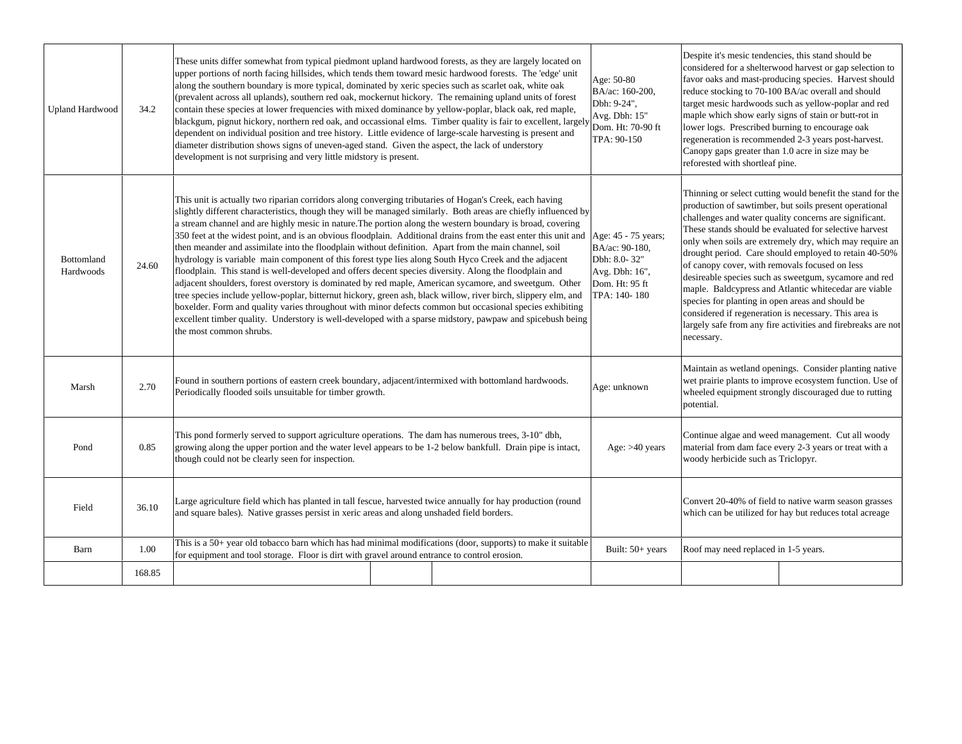| <b>Upland Hardwood</b>  | 34.2   | These units differ somewhat from typical piedmont upland hardwood forests, as they are largely located on<br>upper portions of north facing hillsides, which tends them toward mesic hardwood forests. The 'edge' unit<br>along the southern boundary is more typical, dominated by xeric species such as scarlet oak, white oak<br>(prevalent across all uplands), southern red oak, mockernut hickory. The remaining upland units of forest<br>contain these species at lower frequencies with mixed dominance by yellow-poplar, black oak, red maple,<br>blackgum, pignut hickory, northern red oak, and occassional elms. Timber quality is fair to excellent, largely<br>dependent on individual position and tree history. Little evidence of large-scale harvesting is present and<br>diameter distribution shows signs of uneven-aged stand. Given the aspect, the lack of understory<br>development is not surprising and very little midstory is present.                                                                                                                                                                                                                                                                                                                         | Age: 50-80<br>BA/ac: 160-200,<br>Dbh: 9-24",<br>Avg. Dbh: 15"<br>Dom. Ht: 70-90 ft<br>TPA: 90-150 | Despite it's mesic tendencies, this stand should be<br>considered for a shelterwood harvest or gap selection to<br>favor oaks and mast-producing species. Harvest should<br>reduce stocking to 70-100 BA/ac overall and should<br>target mesic hardwoods such as yellow-poplar and red<br>maple which show early signs of stain or butt-rot in<br>lower logs. Prescribed burning to encourage oak<br>regeneration is recommended 2-3 years post-harvest.<br>Canopy gaps greater than 1.0 acre in size may be<br>reforested with shortleaf pine.                                                                                                                                                                             |
|-------------------------|--------|---------------------------------------------------------------------------------------------------------------------------------------------------------------------------------------------------------------------------------------------------------------------------------------------------------------------------------------------------------------------------------------------------------------------------------------------------------------------------------------------------------------------------------------------------------------------------------------------------------------------------------------------------------------------------------------------------------------------------------------------------------------------------------------------------------------------------------------------------------------------------------------------------------------------------------------------------------------------------------------------------------------------------------------------------------------------------------------------------------------------------------------------------------------------------------------------------------------------------------------------------------------------------------------------|---------------------------------------------------------------------------------------------------|-----------------------------------------------------------------------------------------------------------------------------------------------------------------------------------------------------------------------------------------------------------------------------------------------------------------------------------------------------------------------------------------------------------------------------------------------------------------------------------------------------------------------------------------------------------------------------------------------------------------------------------------------------------------------------------------------------------------------------|
| Bottomland<br>Hardwoods | 24.60  | This unit is actually two riparian corridors along converging tributaries of Hogan's Creek, each having<br>slightly different characteristics, though they will be managed similarly. Both areas are chiefly influenced by<br>a stream channel and are highly mesic in nature. The portion along the western boundary is broad, covering<br>350 feet at the widest point, and is an obvious floodplain. Additional drains from the east enter this unit and Age: 45 - 75 years;<br>then meander and assimilate into the floodplain without definition. Apart from the main channel, soil<br>hydrology is variable main component of this forest type lies along South Hyco Creek and the adjacent<br>floodplain. This stand is well-developed and offers decent species diversity. Along the floodplain and<br>adjacent shoulders, forest overstory is dominated by red maple, American sycamore, and sweetgum. Other<br>tree species include yellow-poplar, bitternut hickory, green ash, black willow, river birch, slippery elm, and<br>boxelder. Form and quality varies throughout with minor defects common but occasional species exhibiting<br>excellent timber quality. Understory is well-developed with a sparse midstory, pawpaw and spicebush being<br>the most common shrubs. | BA/ac: 90-180.<br>Dbh: 8.0-32"<br>Avg. Dbh: 16",<br>Dom. Ht: 95 ft<br>TPA: 140-180                | Thinning or select cutting would benefit the stand for the<br>production of sawtimber, but soils present operational<br>challenges and water quality concerns are significant.<br>These stands should be evaluated for selective harvest<br>only when soils are extremely dry, which may require an<br>drought period. Care should employed to retain 40-50%<br>of canopy cover, with removals focused on less<br>desireable species such as sweetgum, sycamore and red<br>maple. Baldcypress and Atlantic whitecedar are viable<br>species for planting in open areas and should be<br>considered if regeneration is necessary. This area is<br>largely safe from any fire activities and firebreaks are not<br>necessary. |
| Marsh                   | 2.70   | Found in southern portions of eastern creek boundary, adjacent/intermixed with bottomland hardwoods.<br>Periodically flooded soils unsuitable for timber growth.                                                                                                                                                                                                                                                                                                                                                                                                                                                                                                                                                                                                                                                                                                                                                                                                                                                                                                                                                                                                                                                                                                                            | Age: unknown                                                                                      | Maintain as wetland openings. Consider planting native<br>wet prairie plants to improve ecosystem function. Use of<br>wheeled equipment strongly discouraged due to rutting<br>potential.                                                                                                                                                                                                                                                                                                                                                                                                                                                                                                                                   |
| Pond                    | 0.85   | This pond formerly served to support agriculture operations. The dam has numerous trees, 3-10" dbh,<br>growing along the upper portion and the water level appears to be 1-2 below bankfull. Drain pipe is intact,<br>though could not be clearly seen for inspection.                                                                                                                                                                                                                                                                                                                                                                                                                                                                                                                                                                                                                                                                                                                                                                                                                                                                                                                                                                                                                      | Age: $>40$ years                                                                                  | Continue algae and weed management. Cut all woody<br>material from dam face every 2-3 years or treat with a<br>woody herbicide such as Triclopyr.                                                                                                                                                                                                                                                                                                                                                                                                                                                                                                                                                                           |
| Field                   | 36.10  | Large agriculture field which has planted in tall fescue, harvested twice annually for hay production (round<br>and square bales). Native grasses persist in xeric areas and along unshaded field borders.                                                                                                                                                                                                                                                                                                                                                                                                                                                                                                                                                                                                                                                                                                                                                                                                                                                                                                                                                                                                                                                                                  |                                                                                                   | Convert 20-40% of field to native warm season grasses<br>which can be utilized for hay but reduces total acreage                                                                                                                                                                                                                                                                                                                                                                                                                                                                                                                                                                                                            |
| Barn                    | 1.00   | This is a 50+ year old tobacco barn which has had minimal modifications (door, supports) to make it suitable<br>for equipment and tool storage. Floor is dirt with gravel around entrance to control erosion.                                                                                                                                                                                                                                                                                                                                                                                                                                                                                                                                                                                                                                                                                                                                                                                                                                                                                                                                                                                                                                                                               | Built: $50+$ years                                                                                | Roof may need replaced in 1-5 years.                                                                                                                                                                                                                                                                                                                                                                                                                                                                                                                                                                                                                                                                                        |
|                         | 168.85 |                                                                                                                                                                                                                                                                                                                                                                                                                                                                                                                                                                                                                                                                                                                                                                                                                                                                                                                                                                                                                                                                                                                                                                                                                                                                                             |                                                                                                   |                                                                                                                                                                                                                                                                                                                                                                                                                                                                                                                                                                                                                                                                                                                             |